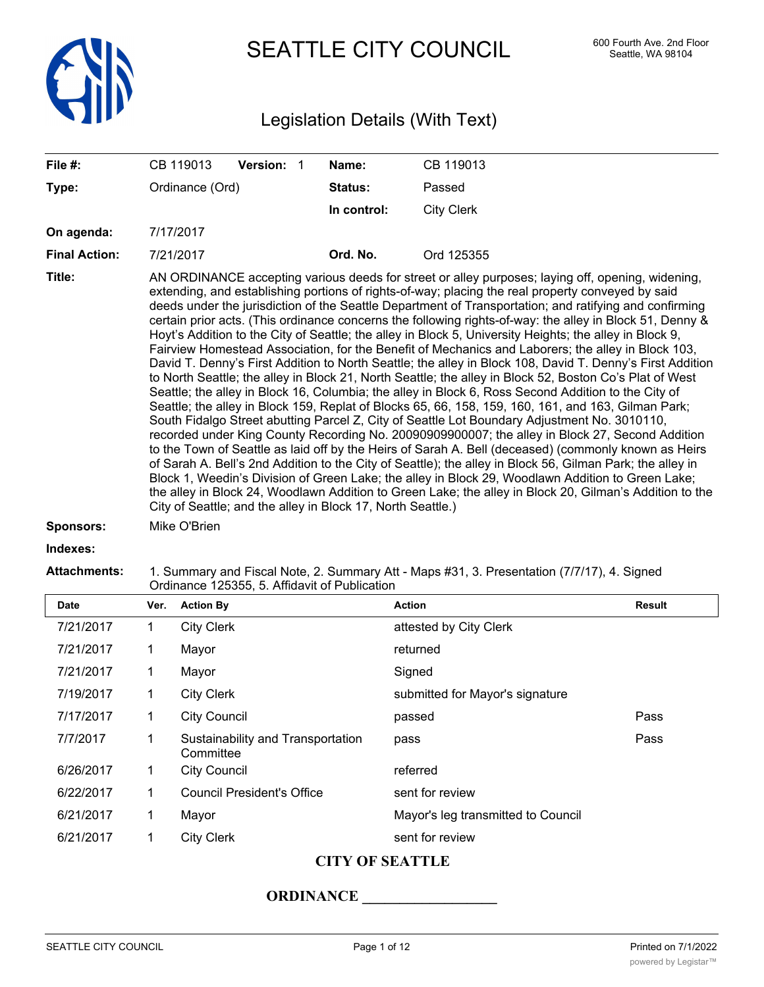

SEATTLE CITY COUNCIL 600 Fourth Ave. 2nd Floor

# Legislation Details (With Text)

| File #:                    | CB 119013<br><b>Version: 1</b>                                                                                                                                                                                                                                                                                                                                                                                                                                                                                                                                                                                                                                                                                                                                                                                                                                                                                                                                                                                                                                                                                                                                                                                                                                                                                                                                                                                                                                                                                                                                                                                                                                                                                                                                                            | Name:       | CB 119013         |  |  |  |
|----------------------------|-------------------------------------------------------------------------------------------------------------------------------------------------------------------------------------------------------------------------------------------------------------------------------------------------------------------------------------------------------------------------------------------------------------------------------------------------------------------------------------------------------------------------------------------------------------------------------------------------------------------------------------------------------------------------------------------------------------------------------------------------------------------------------------------------------------------------------------------------------------------------------------------------------------------------------------------------------------------------------------------------------------------------------------------------------------------------------------------------------------------------------------------------------------------------------------------------------------------------------------------------------------------------------------------------------------------------------------------------------------------------------------------------------------------------------------------------------------------------------------------------------------------------------------------------------------------------------------------------------------------------------------------------------------------------------------------------------------------------------------------------------------------------------------------|-------------|-------------------|--|--|--|
| Type:                      | Ordinance (Ord)                                                                                                                                                                                                                                                                                                                                                                                                                                                                                                                                                                                                                                                                                                                                                                                                                                                                                                                                                                                                                                                                                                                                                                                                                                                                                                                                                                                                                                                                                                                                                                                                                                                                                                                                                                           | Status:     | Passed            |  |  |  |
|                            |                                                                                                                                                                                                                                                                                                                                                                                                                                                                                                                                                                                                                                                                                                                                                                                                                                                                                                                                                                                                                                                                                                                                                                                                                                                                                                                                                                                                                                                                                                                                                                                                                                                                                                                                                                                           | In control: | <b>City Clerk</b> |  |  |  |
| On agenda:                 | 7/17/2017                                                                                                                                                                                                                                                                                                                                                                                                                                                                                                                                                                                                                                                                                                                                                                                                                                                                                                                                                                                                                                                                                                                                                                                                                                                                                                                                                                                                                                                                                                                                                                                                                                                                                                                                                                                 |             |                   |  |  |  |
| <b>Final Action:</b>       | 7/21/2017                                                                                                                                                                                                                                                                                                                                                                                                                                                                                                                                                                                                                                                                                                                                                                                                                                                                                                                                                                                                                                                                                                                                                                                                                                                                                                                                                                                                                                                                                                                                                                                                                                                                                                                                                                                 | Ord. No.    | Ord 125355        |  |  |  |
| Title:<br><b>Sponsors:</b> | AN ORDINANCE accepting various deeds for street or alley purposes; laying off, opening, widening,<br>extending, and establishing portions of rights-of-way; placing the real property conveyed by said<br>deeds under the jurisdiction of the Seattle Department of Transportation; and ratifying and confirming<br>certain prior acts. (This ordinance concerns the following rights-of-way: the alley in Block 51, Denny &<br>Hoyt's Addition to the City of Seattle; the alley in Block 5, University Heights; the alley in Block 9,<br>Fairview Homestead Association, for the Benefit of Mechanics and Laborers; the alley in Block 103,<br>David T. Denny's First Addition to North Seattle; the alley in Block 108, David T. Denny's First Addition<br>to North Seattle; the alley in Block 21, North Seattle; the alley in Block 52, Boston Co's Plat of West<br>Seattle; the alley in Block 16, Columbia; the alley in Block 6, Ross Second Addition to the City of<br>Seattle; the alley in Block 159, Replat of Blocks 65, 66, 158, 159, 160, 161, and 163, Gilman Park;<br>South Fidalgo Street abutting Parcel Z, City of Seattle Lot Boundary Adjustment No. 3010110,<br>recorded under King County Recording No. 2009090900007; the alley in Block 27, Second Addition<br>to the Town of Seattle as laid off by the Heirs of Sarah A. Bell (deceased) (commonly known as Heirs<br>of Sarah A. Bell's 2nd Addition to the City of Seattle); the alley in Block 56, Gilman Park; the alley in<br>Block 1, Weedin's Division of Green Lake; the alley in Block 29, Woodlawn Addition to Green Lake;<br>the alley in Block 24, Woodlawn Addition to Green Lake; the alley in Block 20, Gilman's Addition to the<br>City of Seattle; and the alley in Block 17, North Seattle.) |             |                   |  |  |  |
|                            | Mike O'Brien                                                                                                                                                                                                                                                                                                                                                                                                                                                                                                                                                                                                                                                                                                                                                                                                                                                                                                                                                                                                                                                                                                                                                                                                                                                                                                                                                                                                                                                                                                                                                                                                                                                                                                                                                                              |             |                   |  |  |  |
| Indexes:                   |                                                                                                                                                                                                                                                                                                                                                                                                                                                                                                                                                                                                                                                                                                                                                                                                                                                                                                                                                                                                                                                                                                                                                                                                                                                                                                                                                                                                                                                                                                                                                                                                                                                                                                                                                                                           |             |                   |  |  |  |
| <b>Attachments:</b>        | 1. Summary and Fiscal Note, 2. Summary Att - Maps #31, 3. Presentation (7/7/17), 4. Signed                                                                                                                                                                                                                                                                                                                                                                                                                                                                                                                                                                                                                                                                                                                                                                                                                                                                                                                                                                                                                                                                                                                                                                                                                                                                                                                                                                                                                                                                                                                                                                                                                                                                                                |             |                   |  |  |  |

Ordinance 125355, 5. Affidavit of Publication

| <b>Date</b> | Ver. | <b>Action By</b>                               | <b>Action</b>                      | <b>Result</b> |
|-------------|------|------------------------------------------------|------------------------------------|---------------|
| 7/21/2017   | 1    | <b>City Clerk</b>                              | attested by City Clerk             |               |
| 7/21/2017   | 1    | Mayor                                          | returned                           |               |
| 7/21/2017   | 1    | Mayor                                          | Signed                             |               |
| 7/19/2017   |      | <b>City Clerk</b>                              | submitted for Mayor's signature    |               |
| 7/17/2017   | 1    | <b>City Council</b>                            | passed                             | Pass          |
| 7/7/2017    | 1    | Sustainability and Transportation<br>Committee | pass                               | Pass          |
| 6/26/2017   | 1    | <b>City Council</b>                            | referred                           |               |
| 6/22/2017   | 1    | <b>Council President's Office</b>              | sent for review                    |               |
| 6/21/2017   | 1    | Mayor                                          | Mayor's leg transmitted to Council |               |
| 6/21/2017   |      | <b>City Clerk</b>                              | sent for review                    |               |

# **CITY OF SEATTLE**

# **ORDINANCE \_\_\_\_\_\_\_\_\_\_\_\_\_\_\_\_\_\_**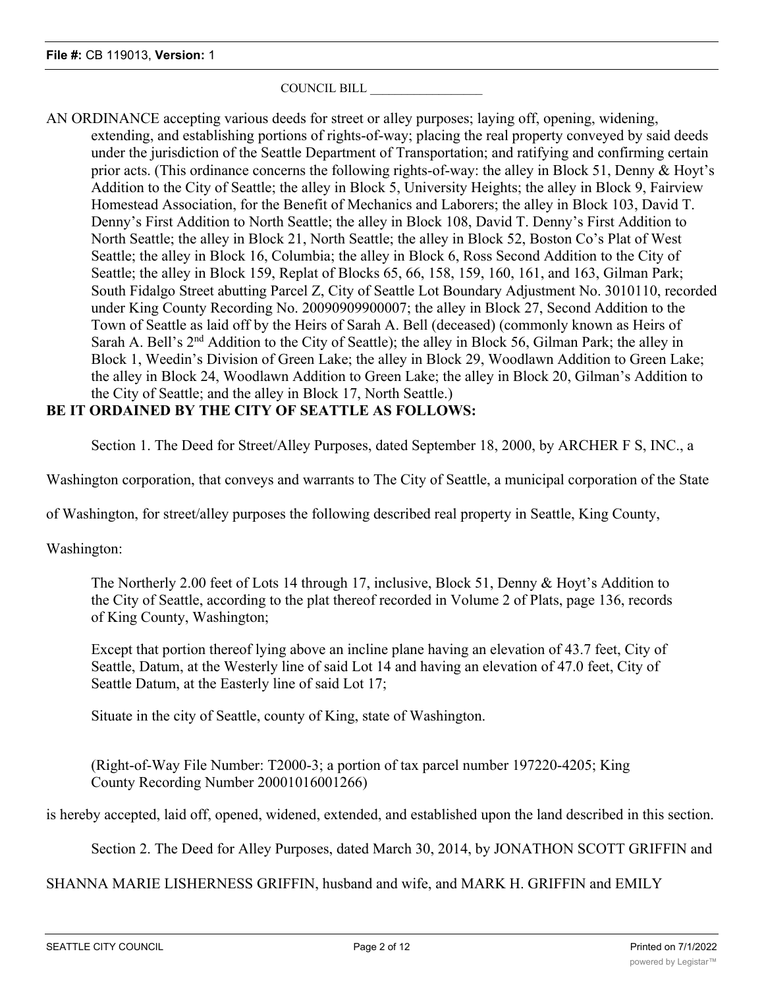# COUNCIL BILL \_\_\_\_\_\_\_\_\_\_\_\_\_\_\_\_\_\_

AN ORDINANCE accepting various deeds for street or alley purposes; laying off, opening, widening, extending, and establishing portions of rights-of-way; placing the real property conveyed by said deeds under the jurisdiction of the Seattle Department of Transportation; and ratifying and confirming certain prior acts. (This ordinance concerns the following rights-of-way: the alley in Block 51, Denny & Hoyt's Addition to the City of Seattle; the alley in Block 5, University Heights; the alley in Block 9, Fairview Homestead Association, for the Benefit of Mechanics and Laborers; the alley in Block 103, David T. Denny's First Addition to North Seattle; the alley in Block 108, David T. Denny's First Addition to North Seattle; the alley in Block 21, North Seattle; the alley in Block 52, Boston Co's Plat of West Seattle; the alley in Block 16, Columbia; the alley in Block 6, Ross Second Addition to the City of Seattle; the alley in Block 159, Replat of Blocks 65, 66, 158, 159, 160, 161, and 163, Gilman Park; South Fidalgo Street abutting Parcel Z, City of Seattle Lot Boundary Adjustment No. 3010110, recorded under King County Recording No. 20090909900007; the alley in Block 27, Second Addition to the Town of Seattle as laid off by the Heirs of Sarah A. Bell (deceased) (commonly known as Heirs of Sarah A. Bell's 2<sup>nd</sup> Addition to the City of Seattle); the alley in Block 56, Gilman Park; the alley in Block 1, Weedin's Division of Green Lake; the alley in Block 29, Woodlawn Addition to Green Lake; the alley in Block 24, Woodlawn Addition to Green Lake; the alley in Block 20, Gilman's Addition to the City of Seattle; and the alley in Block 17, North Seattle.)

# **BE IT ORDAINED BY THE CITY OF SEATTLE AS FOLLOWS:**

Section 1. The Deed for Street/Alley Purposes, dated September 18, 2000, by ARCHER F S, INC., a

Washington corporation, that conveys and warrants to The City of Seattle, a municipal corporation of the State

of Washington, for street/alley purposes the following described real property in Seattle, King County,

Washington:

The Northerly 2.00 feet of Lots 14 through 17, inclusive, Block 51, Denny & Hoyt's Addition to the City of Seattle, according to the plat thereof recorded in Volume 2 of Plats, page 136, records of King County, Washington;

Except that portion thereof lying above an incline plane having an elevation of 43.7 feet, City of Seattle, Datum, at the Westerly line of said Lot 14 and having an elevation of 47.0 feet, City of Seattle Datum, at the Easterly line of said Lot 17;

Situate in the city of Seattle, county of King, state of Washington.

(Right-of-Way File Number: T2000-3; a portion of tax parcel number 197220-4205; King County Recording Number 20001016001266)

is hereby accepted, laid off, opened, widened, extended, and established upon the land described in this section.

Section 2. The Deed for Alley Purposes, dated March 30, 2014, by JONATHON SCOTT GRIFFIN and

SHANNA MARIE LISHERNESS GRIFFIN, husband and wife, and MARK H. GRIFFIN and EMILY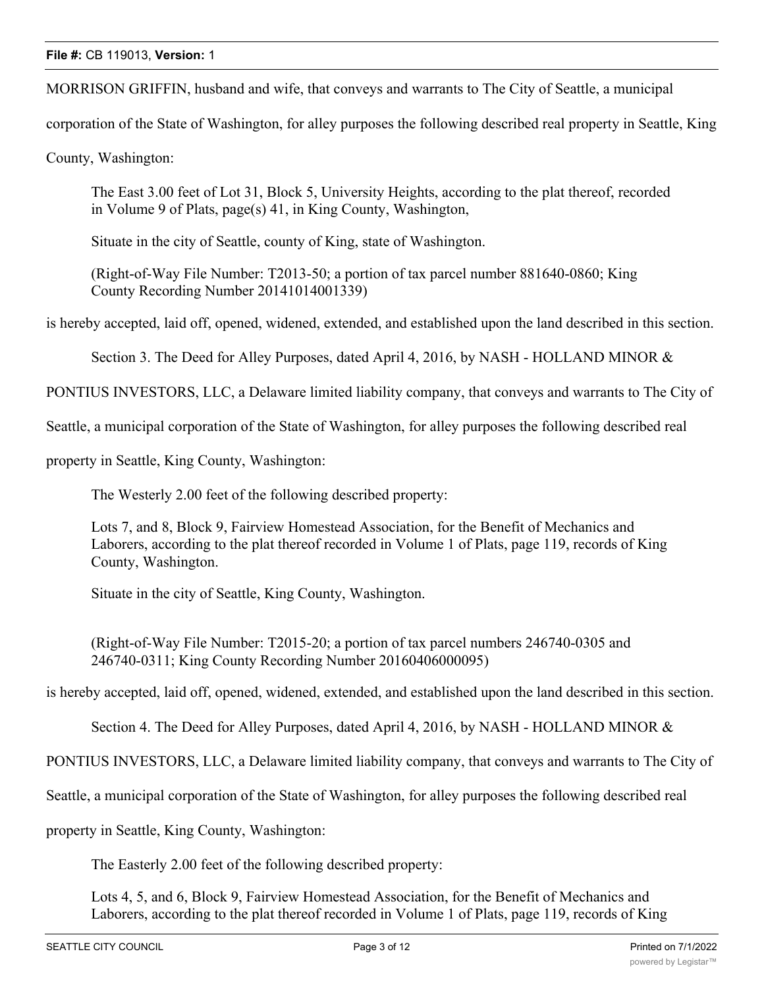MORRISON GRIFFIN, husband and wife, that conveys and warrants to The City of Seattle, a municipal

corporation of the State of Washington, for alley purposes the following described real property in Seattle, King

County, Washington:

The East 3.00 feet of Lot 31, Block 5, University Heights, according to the plat thereof, recorded in Volume 9 of Plats, page(s) 41, in King County, Washington,

Situate in the city of Seattle, county of King, state of Washington.

(Right-of-Way File Number: T2013-50; a portion of tax parcel number 881640-0860; King County Recording Number 20141014001339)

is hereby accepted, laid off, opened, widened, extended, and established upon the land described in this section.

Section 3. The Deed for Alley Purposes, dated April 4, 2016, by NASH - HOLLAND MINOR &

PONTIUS INVESTORS, LLC, a Delaware limited liability company, that conveys and warrants to The City of

Seattle, a municipal corporation of the State of Washington, for alley purposes the following described real

property in Seattle, King County, Washington:

The Westerly 2.00 feet of the following described property:

Lots 7, and 8, Block 9, Fairview Homestead Association, for the Benefit of Mechanics and Laborers, according to the plat thereof recorded in Volume 1 of Plats, page 119, records of King County, Washington.

Situate in the city of Seattle, King County, Washington.

(Right-of-Way File Number: T2015-20; a portion of tax parcel numbers 246740-0305 and 246740-0311; King County Recording Number 20160406000095)

is hereby accepted, laid off, opened, widened, extended, and established upon the land described in this section.

Section 4. The Deed for Alley Purposes, dated April 4, 2016, by NASH - HOLLAND MINOR &

PONTIUS INVESTORS, LLC, a Delaware limited liability company, that conveys and warrants to The City of

Seattle, a municipal corporation of the State of Washington, for alley purposes the following described real

property in Seattle, King County, Washington:

The Easterly 2.00 feet of the following described property:

Lots 4, 5, and 6, Block 9, Fairview Homestead Association, for the Benefit of Mechanics and Laborers, according to the plat thereof recorded in Volume 1 of Plats, page 119, records of King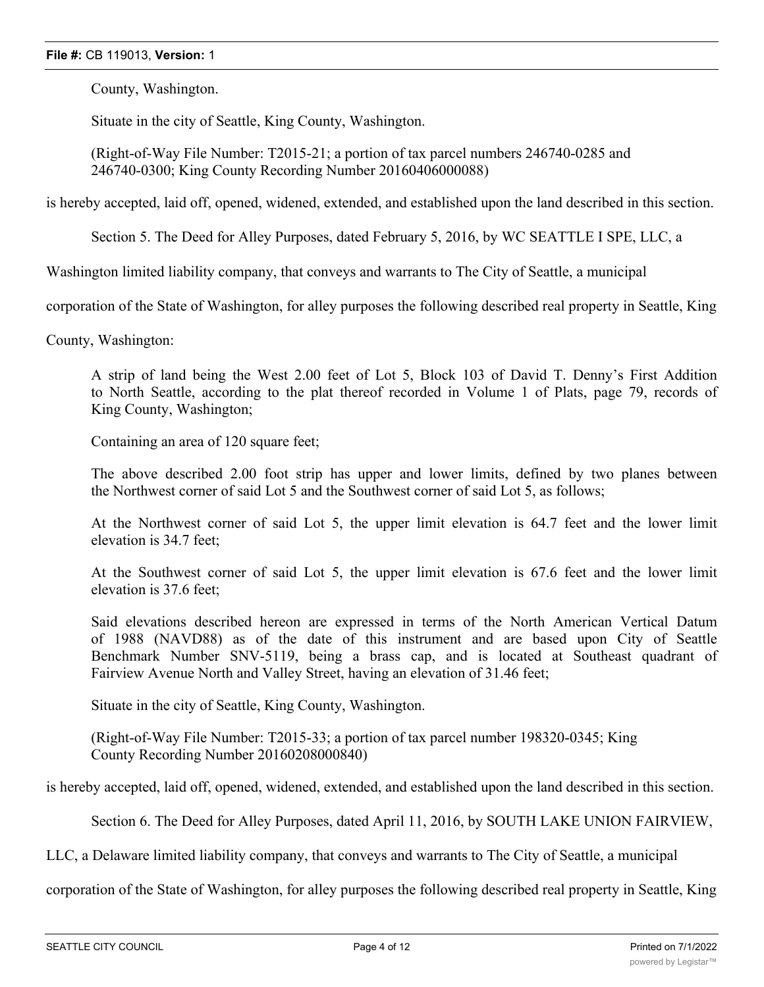County, Washington.

Situate in the city of Seattle, King County, Washington.

(Right-of-Way File Number: T2015-21; a portion of tax parcel numbers 246740-0285 and 246740-0300; King County Recording Number 20160406000088)

is hereby accepted, laid off, opened, widened, extended, and established upon the land described in this section.

Section 5. The Deed for Alley Purposes, dated February 5, 2016, by WC SEATTLE I SPE, LLC, a

Washington limited liability company, that conveys and warrants to The City of Seattle, a municipal

corporation of the State of Washington, for alley purposes the following described real property in Seattle, King

County, Washington:

A strip of land being the West 2.00 feet of Lot 5, Block 103 of David T. Denny's First Addition to North Seattle, according to the plat thereof recorded in Volume 1 of Plats, page 79, records of King County, Washington;

Containing an area of 120 square feet;

The above described 2.00 foot strip has upper and lower limits, defined by two planes between the Northwest corner of said Lot 5 and the Southwest corner of said Lot 5, as follows;

At the Northwest corner of said Lot 5, the upper limit elevation is 64.7 feet and the lower limit elevation is 34.7 feet;

At the Southwest corner of said Lot 5, the upper limit elevation is 67.6 feet and the lower limit elevation is 37.6 feet;

Said elevations described hereon are expressed in terms of the North American Vertical Datum of 1988 (NAVD88) as of the date of this instrument and are based upon City of Seattle Benchmark Number SNV-5119, being a brass cap, and is located at Southeast quadrant of Fairview Avenue North and Valley Street, having an elevation of 31.46 feet;

Situate in the city of Seattle, King County, Washington.

(Right-of-Way File Number: T2015-33; a portion of tax parcel number 198320-0345; King County Recording Number 20160208000840)

is hereby accepted, laid off, opened, widened, extended, and established upon the land described in this section.

Section 6. The Deed for Alley Purposes, dated April 11, 2016, by SOUTH LAKE UNION FAIRVIEW,

LLC, a Delaware limited liability company, that conveys and warrants to The City of Seattle, a municipal

corporation of the State of Washington, for alley purposes the following described real property in Seattle, King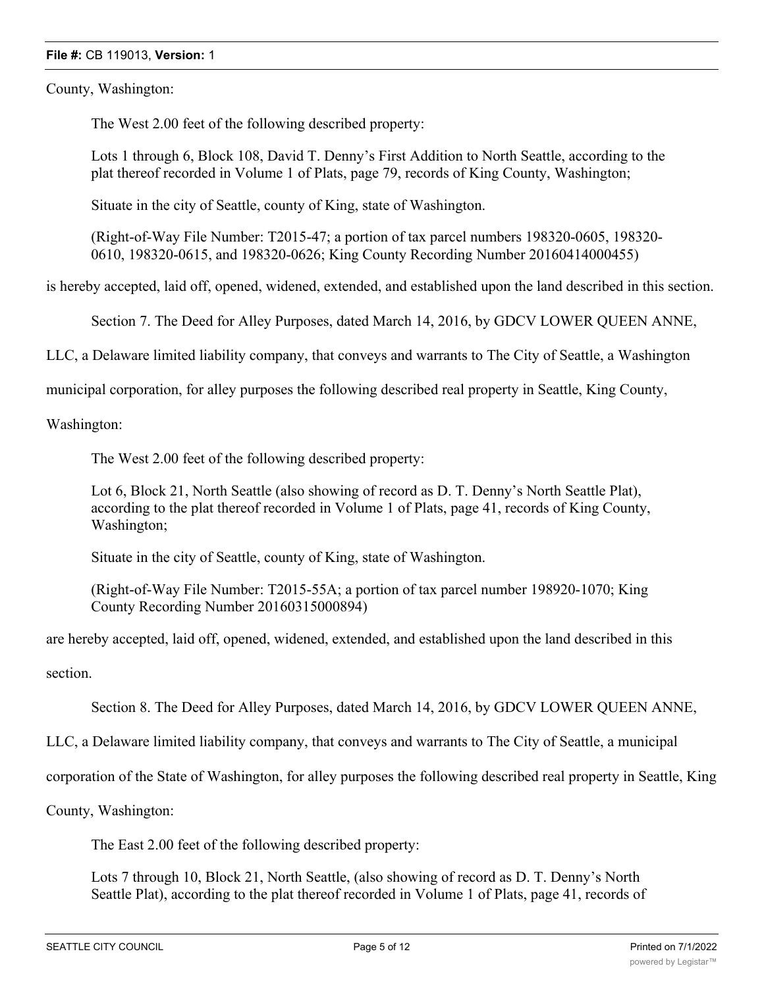County, Washington:

The West 2.00 feet of the following described property:

Lots 1 through 6, Block 108, David T. Denny's First Addition to North Seattle, according to the plat thereof recorded in Volume 1 of Plats, page 79, records of King County, Washington;

Situate in the city of Seattle, county of King, state of Washington.

(Right-of-Way File Number: T2015-47; a portion of tax parcel numbers 198320-0605, 198320- 0610, 198320-0615, and 198320-0626; King County Recording Number 20160414000455)

is hereby accepted, laid off, opened, widened, extended, and established upon the land described in this section.

Section 7. The Deed for Alley Purposes, dated March 14, 2016, by GDCV LOWER QUEEN ANNE,

LLC, a Delaware limited liability company, that conveys and warrants to The City of Seattle, a Washington

municipal corporation, for alley purposes the following described real property in Seattle, King County,

Washington:

The West 2.00 feet of the following described property:

Lot 6, Block 21, North Seattle (also showing of record as D. T. Denny's North Seattle Plat), according to the plat thereof recorded in Volume 1 of Plats, page 41, records of King County, Washington;

Situate in the city of Seattle, county of King, state of Washington.

(Right-of-Way File Number: T2015-55A; a portion of tax parcel number 198920-1070; King County Recording Number 20160315000894)

are hereby accepted, laid off, opened, widened, extended, and established upon the land described in this

section.

Section 8. The Deed for Alley Purposes, dated March 14, 2016, by GDCV LOWER QUEEN ANNE,

LLC, a Delaware limited liability company, that conveys and warrants to The City of Seattle, a municipal

corporation of the State of Washington, for alley purposes the following described real property in Seattle, King

County, Washington:

The East 2.00 feet of the following described property:

Lots 7 through 10, Block 21, North Seattle, (also showing of record as D. T. Denny's North Seattle Plat), according to the plat thereof recorded in Volume 1 of Plats, page 41, records of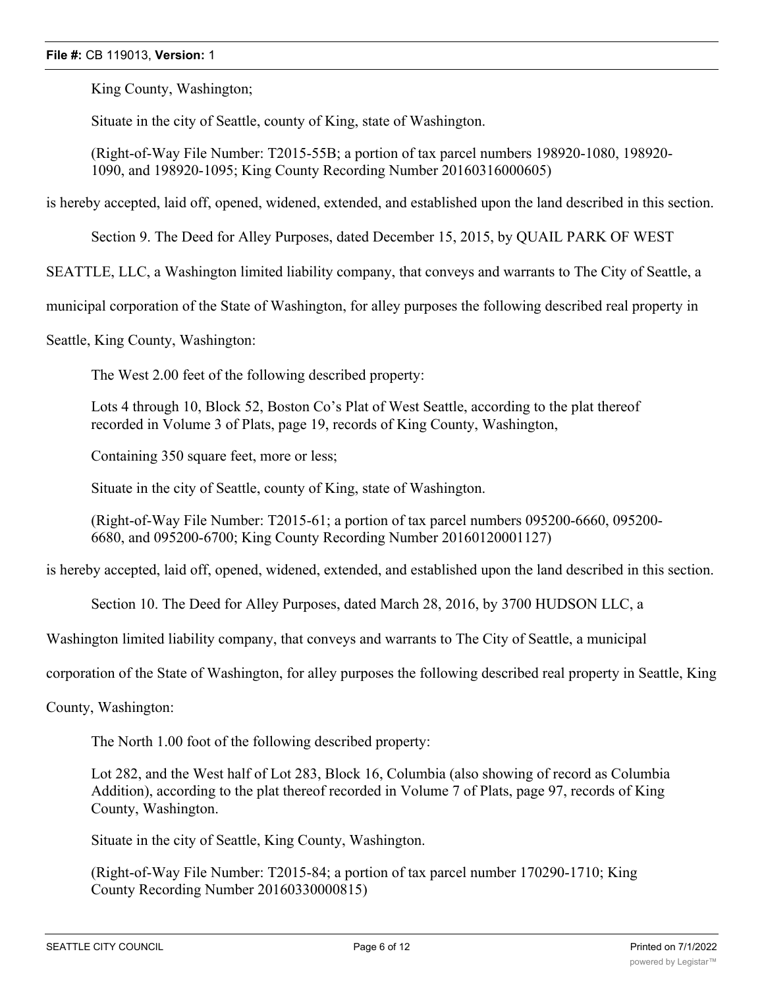King County, Washington;

Situate in the city of Seattle, county of King, state of Washington.

(Right-of-Way File Number: T2015-55B; a portion of tax parcel numbers 198920-1080, 198920- 1090, and 198920-1095; King County Recording Number 20160316000605)

is hereby accepted, laid off, opened, widened, extended, and established upon the land described in this section.

Section 9. The Deed for Alley Purposes, dated December 15, 2015, by QUAIL PARK OF WEST

SEATTLE, LLC, a Washington limited liability company, that conveys and warrants to The City of Seattle, a

municipal corporation of the State of Washington, for alley purposes the following described real property in

Seattle, King County, Washington:

The West 2.00 feet of the following described property:

Lots 4 through 10, Block 52, Boston Co's Plat of West Seattle, according to the plat thereof recorded in Volume 3 of Plats, page 19, records of King County, Washington,

Containing 350 square feet, more or less;

Situate in the city of Seattle, county of King, state of Washington.

(Right-of-Way File Number: T2015-61; a portion of tax parcel numbers 095200-6660, 095200- 6680, and 095200-6700; King County Recording Number 20160120001127)

is hereby accepted, laid off, opened, widened, extended, and established upon the land described in this section.

Section 10. The Deed for Alley Purposes, dated March 28, 2016, by 3700 HUDSON LLC, a

Washington limited liability company, that conveys and warrants to The City of Seattle, a municipal

corporation of the State of Washington, for alley purposes the following described real property in Seattle, King

County, Washington:

The North 1.00 foot of the following described property:

Lot 282, and the West half of Lot 283, Block 16, Columbia (also showing of record as Columbia Addition), according to the plat thereof recorded in Volume 7 of Plats, page 97, records of King County, Washington.

Situate in the city of Seattle, King County, Washington.

(Right-of-Way File Number: T2015-84; a portion of tax parcel number 170290-1710; King County Recording Number 20160330000815)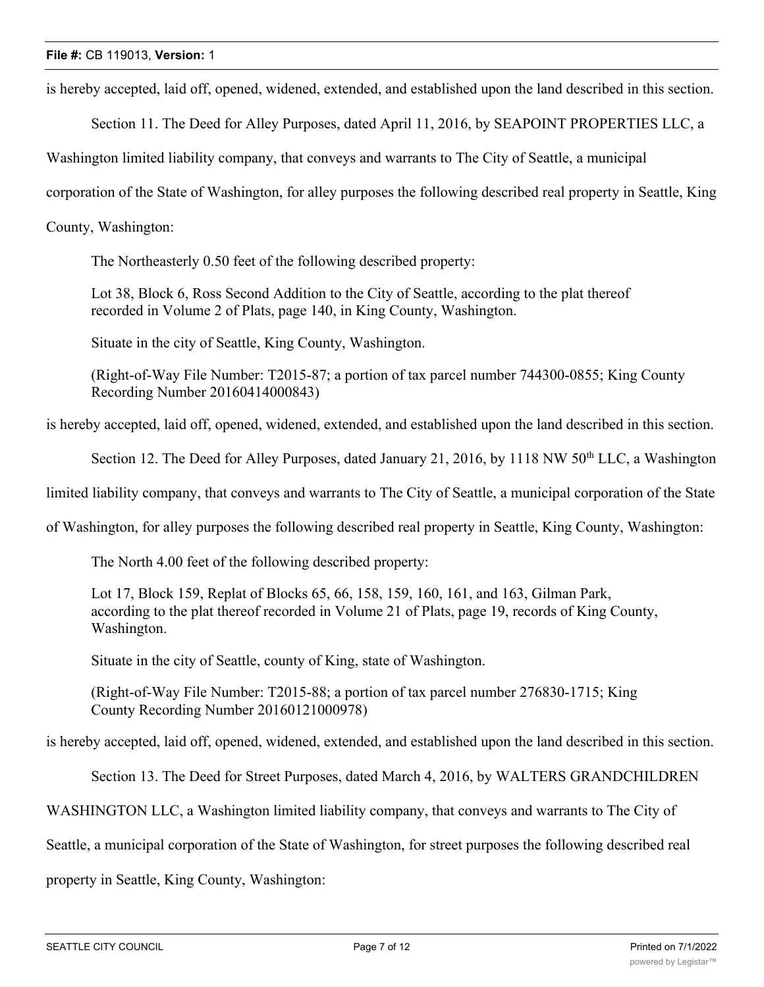is hereby accepted, laid off, opened, widened, extended, and established upon the land described in this section.

Section 11. The Deed for Alley Purposes, dated April 11, 2016, by SEAPOINT PROPERTIES LLC, a

Washington limited liability company, that conveys and warrants to The City of Seattle, a municipal

corporation of the State of Washington, for alley purposes the following described real property in Seattle, King

County, Washington:

The Northeasterly 0.50 feet of the following described property:

Lot 38, Block 6, Ross Second Addition to the City of Seattle, according to the plat thereof recorded in Volume 2 of Plats, page 140, in King County, Washington.

Situate in the city of Seattle, King County, Washington.

(Right-of-Way File Number: T2015-87; a portion of tax parcel number 744300-0855; King County Recording Number 20160414000843)

is hereby accepted, laid off, opened, widened, extended, and established upon the land described in this section.

Section 12. The Deed for Alley Purposes, dated January 21, 2016, by 1118 NW 50<sup>th</sup> LLC, a Washington

limited liability company, that conveys and warrants to The City of Seattle, a municipal corporation of the State

of Washington, for alley purposes the following described real property in Seattle, King County, Washington:

The North 4.00 feet of the following described property:

Lot 17, Block 159, Replat of Blocks 65, 66, 158, 159, 160, 161, and 163, Gilman Park, according to the plat thereof recorded in Volume 21 of Plats, page 19, records of King County, Washington.

Situate in the city of Seattle, county of King, state of Washington.

(Right-of-Way File Number: T2015-88; a portion of tax parcel number 276830-1715; King County Recording Number 20160121000978)

is hereby accepted, laid off, opened, widened, extended, and established upon the land described in this section.

Section 13. The Deed for Street Purposes, dated March 4, 2016, by WALTERS GRANDCHILDREN

WASHINGTON LLC, a Washington limited liability company, that conveys and warrants to The City of

Seattle, a municipal corporation of the State of Washington, for street purposes the following described real

property in Seattle, King County, Washington: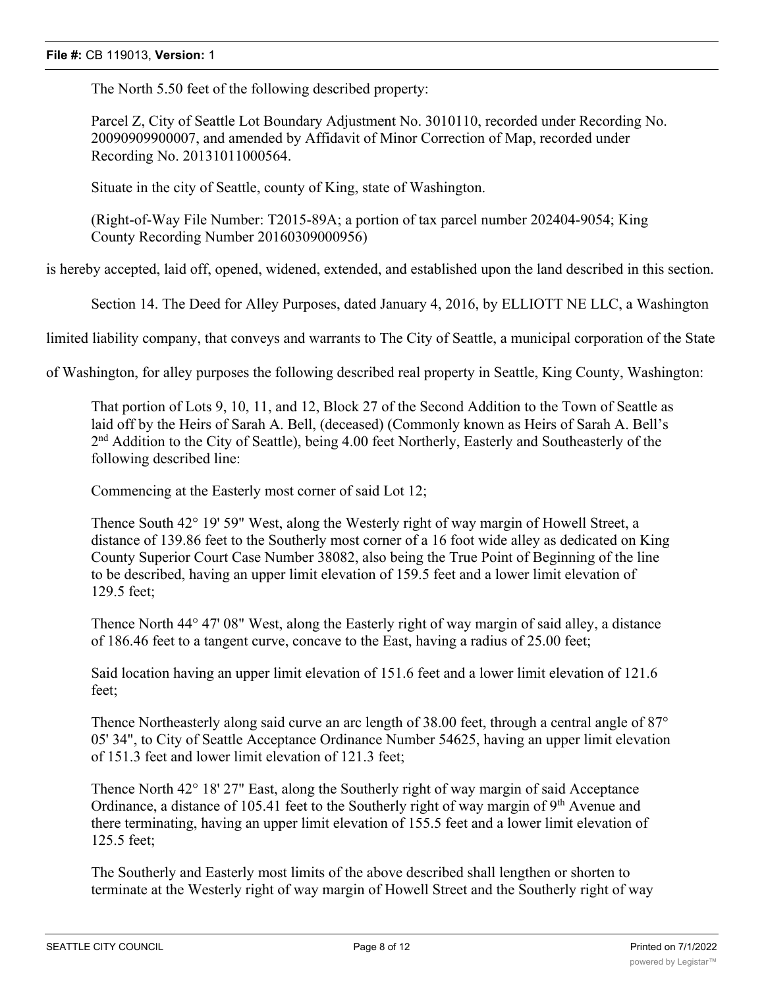The North 5.50 feet of the following described property:

Parcel Z, City of Seattle Lot Boundary Adjustment No. 3010110, recorded under Recording No. 20090909900007, and amended by Affidavit of Minor Correction of Map, recorded under Recording No. 20131011000564.

Situate in the city of Seattle, county of King, state of Washington.

(Right-of-Way File Number: T2015-89A; a portion of tax parcel number 202404-9054; King County Recording Number 20160309000956)

is hereby accepted, laid off, opened, widened, extended, and established upon the land described in this section.

Section 14. The Deed for Alley Purposes, dated January 4, 2016, by ELLIOTT NE LLC, a Washington

limited liability company, that conveys and warrants to The City of Seattle, a municipal corporation of the State

of Washington, for alley purposes the following described real property in Seattle, King County, Washington:

That portion of Lots 9, 10, 11, and 12, Block 27 of the Second Addition to the Town of Seattle as laid off by the Heirs of Sarah A. Bell, (deceased) (Commonly known as Heirs of Sarah A. Bell's 2<sup>nd</sup> Addition to the City of Seattle), being 4.00 feet Northerly, Easterly and Southeasterly of the following described line:

Commencing at the Easterly most corner of said Lot 12;

Thence South 42° 19' 59" West, along the Westerly right of way margin of Howell Street, a distance of 139.86 feet to the Southerly most corner of a 16 foot wide alley as dedicated on King County Superior Court Case Number 38082, also being the True Point of Beginning of the line to be described, having an upper limit elevation of 159.5 feet and a lower limit elevation of 129.5 feet;

Thence North 44° 47' 08" West, along the Easterly right of way margin of said alley, a distance of 186.46 feet to a tangent curve, concave to the East, having a radius of 25.00 feet;

Said location having an upper limit elevation of 151.6 feet and a lower limit elevation of 121.6 feet;

Thence Northeasterly along said curve an arc length of 38.00 feet, through a central angle of 87<sup>°</sup> 05' 34", to City of Seattle Acceptance Ordinance Number 54625, having an upper limit elevation of 151.3 feet and lower limit elevation of 121.3 feet;

Thence North 42° 18' 27" East, along the Southerly right of way margin of said Acceptance Ordinance, a distance of 105.41 feet to the Southerly right of way margin of  $9<sup>th</sup>$  Avenue and there terminating, having an upper limit elevation of 155.5 feet and a lower limit elevation of 125.5 feet;

The Southerly and Easterly most limits of the above described shall lengthen or shorten to terminate at the Westerly right of way margin of Howell Street and the Southerly right of way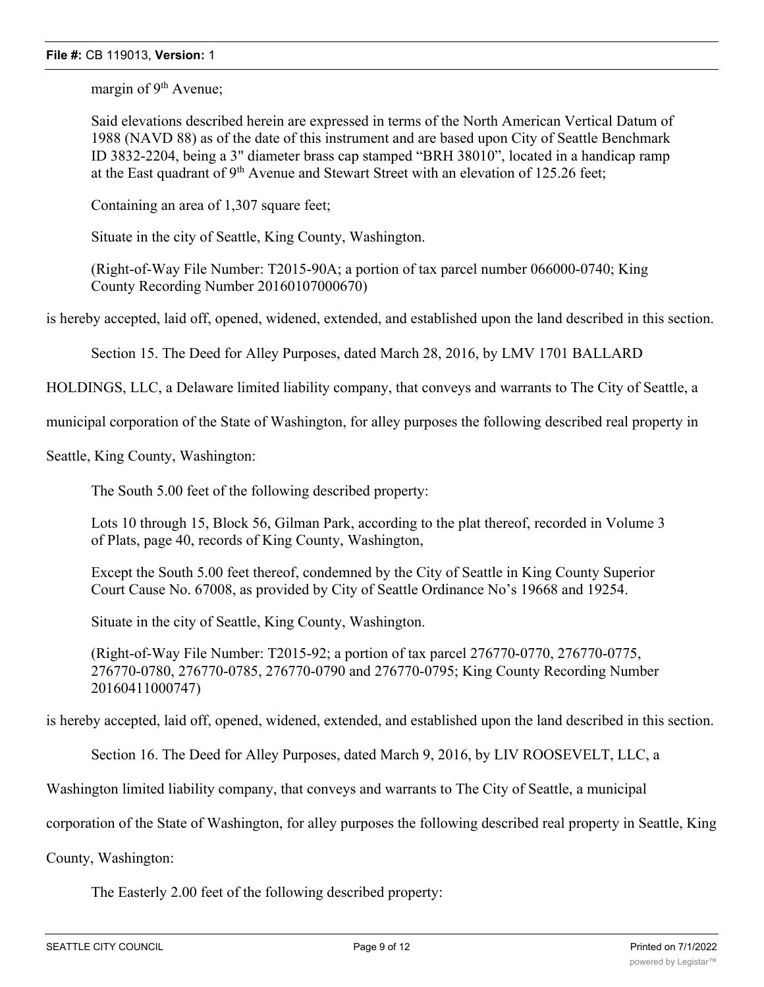margin of 9<sup>th</sup> Avenue;

Said elevations described herein are expressed in terms of the North American Vertical Datum of 1988 (NAVD 88) as of the date of this instrument and are based upon City of Seattle Benchmark ID 3832-2204, being a 3" diameter brass cap stamped "BRH 38010", located in a handicap ramp at the East quadrant of  $9<sup>th</sup>$  Avenue and Stewart Street with an elevation of 125.26 feet;

Containing an area of 1,307 square feet;

Situate in the city of Seattle, King County, Washington.

(Right-of-Way File Number: T2015-90A; a portion of tax parcel number 066000-0740; King County Recording Number 20160107000670)

is hereby accepted, laid off, opened, widened, extended, and established upon the land described in this section.

Section 15. The Deed for Alley Purposes, dated March 28, 2016, by LMV 1701 BALLARD

HOLDINGS, LLC, a Delaware limited liability company, that conveys and warrants to The City of Seattle, a

municipal corporation of the State of Washington, for alley purposes the following described real property in

Seattle, King County, Washington:

The South 5.00 feet of the following described property:

Lots 10 through 15, Block 56, Gilman Park, according to the plat thereof, recorded in Volume 3 of Plats, page 40, records of King County, Washington,

Except the South 5.00 feet thereof, condemned by the City of Seattle in King County Superior Court Cause No. 67008, as provided by City of Seattle Ordinance No's 19668 and 19254.

Situate in the city of Seattle, King County, Washington.

(Right-of-Way File Number: T2015-92; a portion of tax parcel 276770-0770, 276770-0775, 276770-0780, 276770-0785, 276770-0790 and 276770-0795; King County Recording Number 20160411000747)

is hereby accepted, laid off, opened, widened, extended, and established upon the land described in this section.

Section 16. The Deed for Alley Purposes, dated March 9, 2016, by LIV ROOSEVELT, LLC, a

Washington limited liability company, that conveys and warrants to The City of Seattle, a municipal

corporation of the State of Washington, for alley purposes the following described real property in Seattle, King

County, Washington:

The Easterly 2.00 feet of the following described property: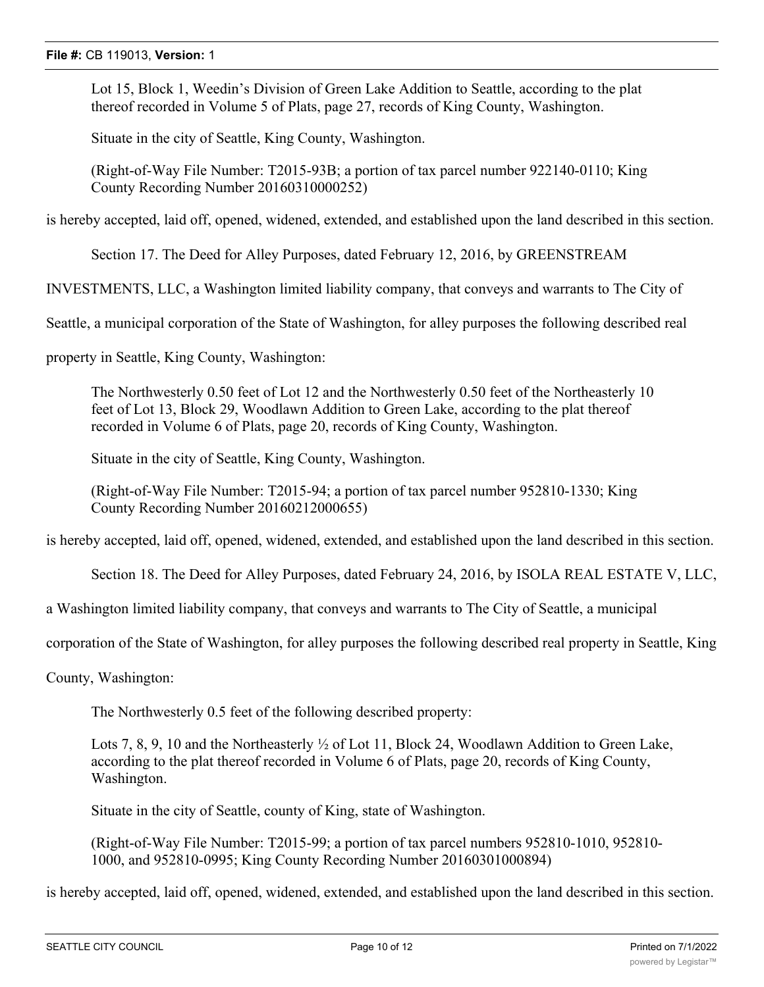Lot 15, Block 1, Weedin's Division of Green Lake Addition to Seattle, according to the plat thereof recorded in Volume 5 of Plats, page 27, records of King County, Washington.

Situate in the city of Seattle, King County, Washington.

(Right-of-Way File Number: T2015-93B; a portion of tax parcel number 922140-0110; King County Recording Number 20160310000252)

is hereby accepted, laid off, opened, widened, extended, and established upon the land described in this section.

Section 17. The Deed for Alley Purposes, dated February 12, 2016, by GREENSTREAM

INVESTMENTS, LLC, a Washington limited liability company, that conveys and warrants to The City of

Seattle, a municipal corporation of the State of Washington, for alley purposes the following described real

property in Seattle, King County, Washington:

The Northwesterly 0.50 feet of Lot 12 and the Northwesterly 0.50 feet of the Northeasterly 10 feet of Lot 13, Block 29, Woodlawn Addition to Green Lake, according to the plat thereof recorded in Volume 6 of Plats, page 20, records of King County, Washington.

Situate in the city of Seattle, King County, Washington.

(Right-of-Way File Number: T2015-94; a portion of tax parcel number 952810-1330; King County Recording Number 20160212000655)

is hereby accepted, laid off, opened, widened, extended, and established upon the land described in this section.

Section 18. The Deed for Alley Purposes, dated February 24, 2016, by ISOLA REAL ESTATE V, LLC,

a Washington limited liability company, that conveys and warrants to The City of Seattle, a municipal

corporation of the State of Washington, for alley purposes the following described real property in Seattle, King

County, Washington:

The Northwesterly 0.5 feet of the following described property:

Lots 7, 8, 9, 10 and the Northeasterly  $\frac{1}{2}$  of Lot 11, Block 24, Woodlawn Addition to Green Lake, according to the plat thereof recorded in Volume 6 of Plats, page 20, records of King County, Washington.

Situate in the city of Seattle, county of King, state of Washington.

(Right-of-Way File Number: T2015-99; a portion of tax parcel numbers 952810-1010, 952810- 1000, and 952810-0995; King County Recording Number 20160301000894)

is hereby accepted, laid off, opened, widened, extended, and established upon the land described in this section.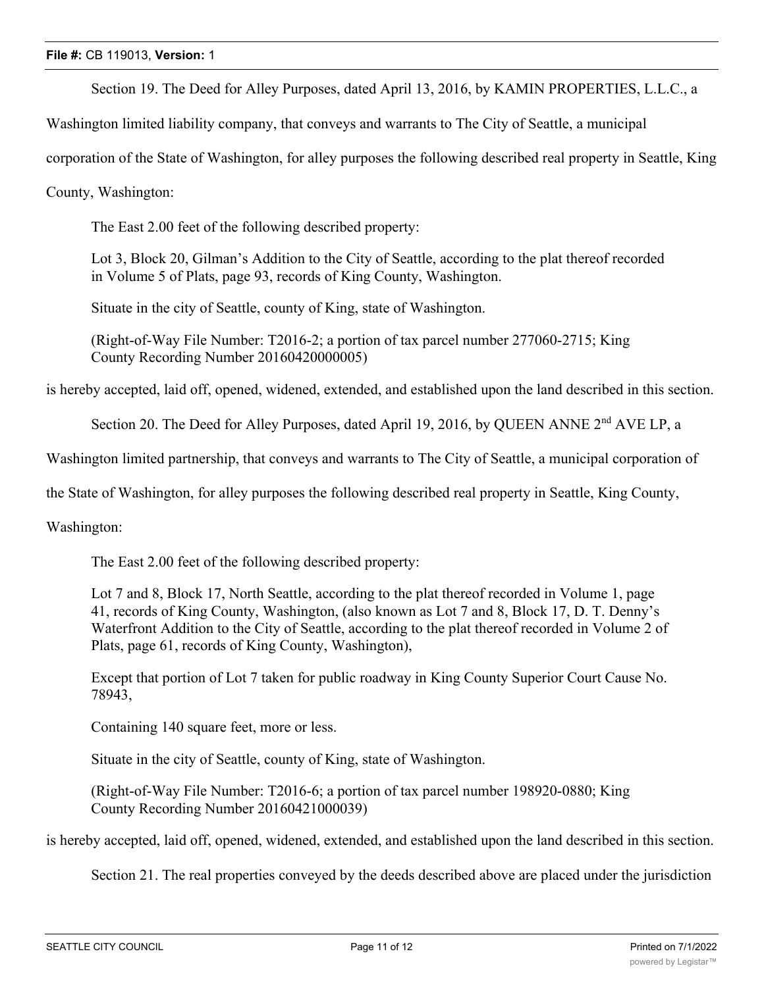Section 19. The Deed for Alley Purposes, dated April 13, 2016, by KAMIN PROPERTIES, L.L.C., a

Washington limited liability company, that conveys and warrants to The City of Seattle, a municipal

corporation of the State of Washington, for alley purposes the following described real property in Seattle, King

County, Washington:

The East 2.00 feet of the following described property:

Lot 3, Block 20, Gilman's Addition to the City of Seattle, according to the plat thereof recorded in Volume 5 of Plats, page 93, records of King County, Washington.

Situate in the city of Seattle, county of King, state of Washington.

(Right-of-Way File Number: T2016-2; a portion of tax parcel number 277060-2715; King County Recording Number 20160420000005)

is hereby accepted, laid off, opened, widened, extended, and established upon the land described in this section.

Section 20. The Deed for Alley Purposes, dated April 19, 2016, by QUEEN ANNE 2<sup>nd</sup> AVE LP, a

Washington limited partnership, that conveys and warrants to The City of Seattle, a municipal corporation of

the State of Washington, for alley purposes the following described real property in Seattle, King County,

Washington:

The East 2.00 feet of the following described property:

Lot 7 and 8, Block 17, North Seattle, according to the plat thereof recorded in Volume 1, page 41, records of King County, Washington, (also known as Lot 7 and 8, Block 17, D. T. Denny's Waterfront Addition to the City of Seattle, according to the plat thereof recorded in Volume 2 of Plats, page 61, records of King County, Washington),

Except that portion of Lot 7 taken for public roadway in King County Superior Court Cause No. 78943,

Containing 140 square feet, more or less.

Situate in the city of Seattle, county of King, state of Washington.

(Right-of-Way File Number: T2016-6; a portion of tax parcel number 198920-0880; King County Recording Number 20160421000039)

is hereby accepted, laid off, opened, widened, extended, and established upon the land described in this section.

Section 21. The real properties conveyed by the deeds described above are placed under the jurisdiction